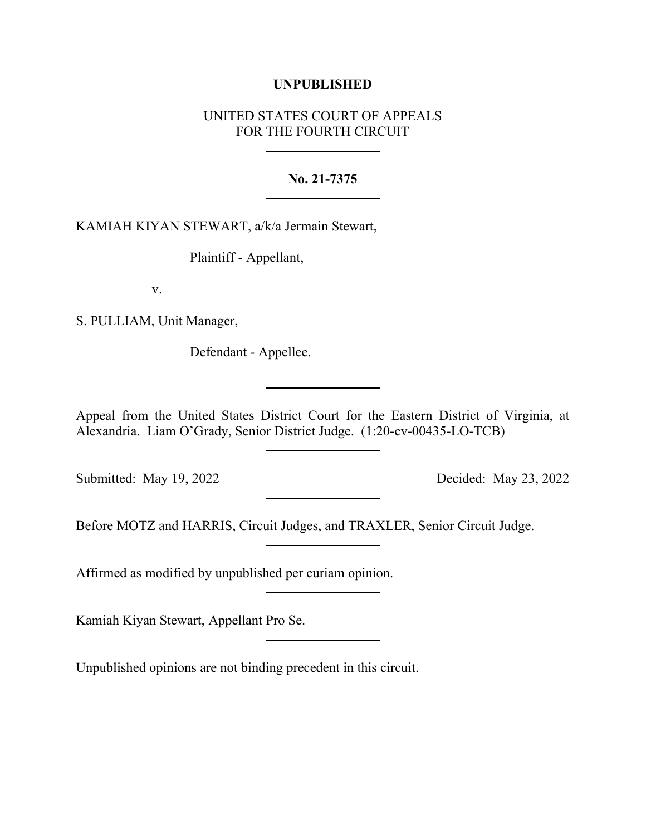## **UNPUBLISHED**

## UNITED STATES COURT OF APPEALS FOR THE FOURTH CIRCUIT

## **No. 21-7375**

KAMIAH KIYAN STEWART, a/k/a Jermain Stewart,

Plaintiff - Appellant,

v.

S. PULLIAM, Unit Manager,

Defendant - Appellee.

Appeal from the United States District Court for the Eastern District of Virginia, at Alexandria. Liam O'Grady, Senior District Judge. (1:20-cv-00435-LO-TCB)

Submitted: May 19, 2022 Decided: May 23, 2022

Before MOTZ and HARRIS, Circuit Judges, and TRAXLER, Senior Circuit Judge.

Affirmed as modified by unpublished per curiam opinion.

Kamiah Kiyan Stewart, Appellant Pro Se.

Unpublished opinions are not binding precedent in this circuit.